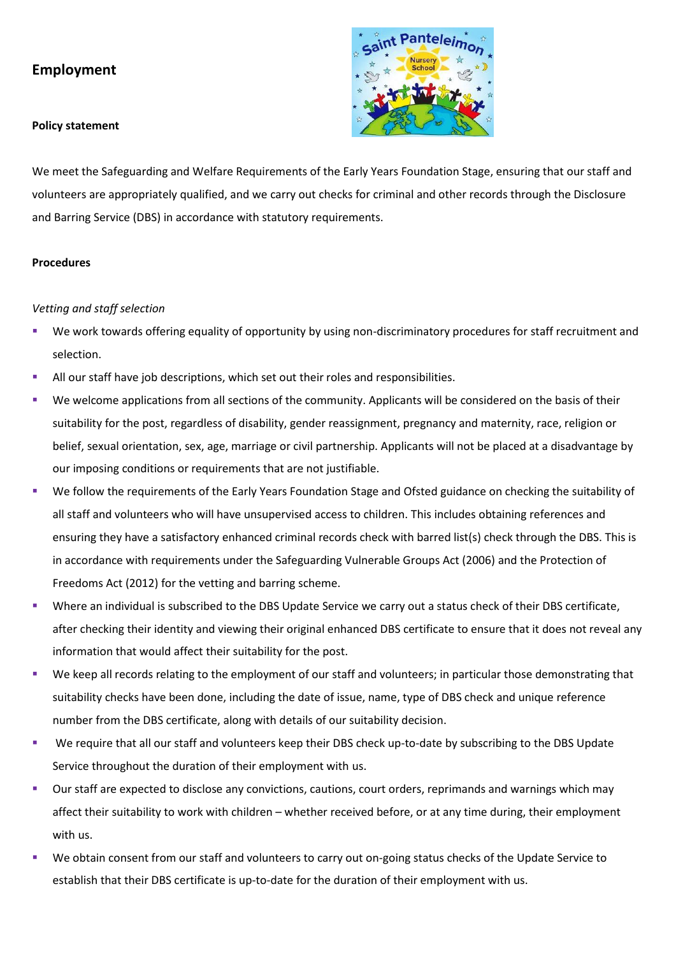# **Employment**

#### **Policy statement**



We meet the Safeguarding and Welfare Requirements of the Early Years Foundation Stage, ensuring that our staff and volunteers are appropriately qualified, and we carry out checks for criminal and other records through the Disclosure and Barring Service (DBS) in accordance with statutory requirements.

### **Procedures**

### *Vetting and staff selection*

- We work towards offering equality of opportunity by using non-discriminatory procedures for staff recruitment and selection.
- All our staff have job descriptions, which set out their roles and responsibilities.
- We welcome applications from all sections of the community. Applicants will be considered on the basis of their suitability for the post, regardless of disability, gender reassignment, pregnancy and maternity, race, religion or belief, sexual orientation, sex, age, marriage or civil partnership. Applicants will not be placed at a disadvantage by our imposing conditions or requirements that are not justifiable.
- We follow the requirements of the Early Years Foundation Stage and Ofsted guidance on checking the suitability of all staff and volunteers who will have unsupervised access to children. This includes obtaining references and ensuring they have a satisfactory enhanced criminal records check with barred list(s) check through the DBS. This is in accordance with requirements under the Safeguarding Vulnerable Groups Act (2006) and the Protection of Freedoms Act (2012) for the vetting and barring scheme.
- Where an individual is subscribed to the DBS Update Service we carry out a status check of their DBS certificate, after checking their identity and viewing their original enhanced DBS certificate to ensure that it does not reveal any information that would affect their suitability for the post.
- We keep all records relating to the employment of our staff and volunteers; in particular those demonstrating that suitability checks have been done, including the date of issue, name, type of DBS check and unique reference number from the DBS certificate, along with details of our suitability decision.
- We require that all our staff and volunteers keep their DBS check up-to-date by subscribing to the DBS Update Service throughout the duration of their employment with us.
- Our staff are expected to disclose any convictions, cautions, court orders, reprimands and warnings which may affect their suitability to work with children – whether received before, or at any time during, their employment with us.
- We obtain consent from our staff and volunteers to carry out on-going status checks of the Update Service to establish that their DBS certificate is up-to-date for the duration of their employment with us.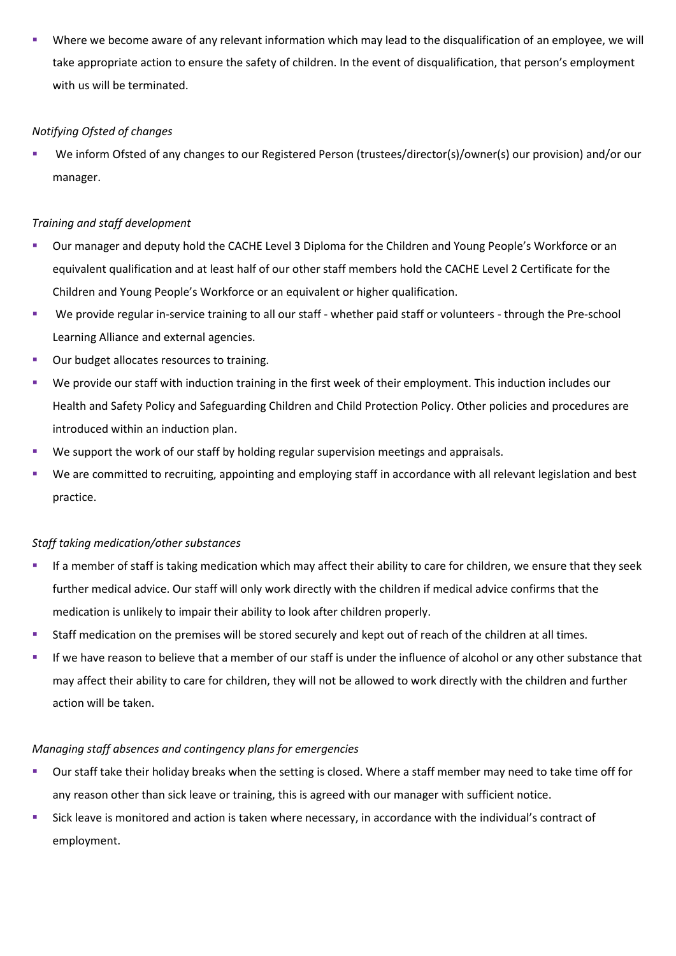Where we become aware of any relevant information which may lead to the disqualification of an employee, we will take appropriate action to ensure the safety of children. In the event of disqualification, that person's employment with us will be terminated.

# *Notifying Ofsted of changes*

We inform Ofsted of any changes to our Registered Person (trustees/director(s)/owner(s) our provision) and/or our manager.

# *Training and staff development*

- Our manager and deputy hold the CACHE Level 3 Diploma for the Children and Young People's Workforce or an equivalent qualification and at least half of our other staff members hold the CACHE Level 2 Certificate for the Children and Young People's Workforce or an equivalent or higher qualification.
- We provide regular in-service training to all our staff whether paid staff or volunteers through the Pre-school Learning Alliance and external agencies.
- Our budget allocates resources to training.
- We provide our staff with induction training in the first week of their employment. This induction includes our Health and Safety Policy and Safeguarding Children and Child Protection Policy. Other policies and procedures are introduced within an induction plan.
- We support the work of our staff by holding regular supervision meetings and appraisals.
- We are committed to recruiting, appointing and employing staff in accordance with all relevant legislation and best practice.

## *Staff taking medication/other substances*

- If a member of staff is taking medication which may affect their ability to care for children, we ensure that they seek further medical advice. Our staff will only work directly with the children if medical advice confirms that the medication is unlikely to impair their ability to look after children properly.
- Staff medication on the premises will be stored securely and kept out of reach of the children at all times.
- **■** If we have reason to believe that a member of our staff is under the influence of alcohol or any other substance that may affect their ability to care for children, they will not be allowed to work directly with the children and further action will be taken.

## *Managing staff absences and contingency plans for emergencies*

- Our staff take their holiday breaks when the setting is closed. Where a staff member may need to take time off for any reason other than sick leave or training, this is agreed with our manager with sufficient notice.
- Sick leave is monitored and action is taken where necessary, in accordance with the individual's contract of employment.